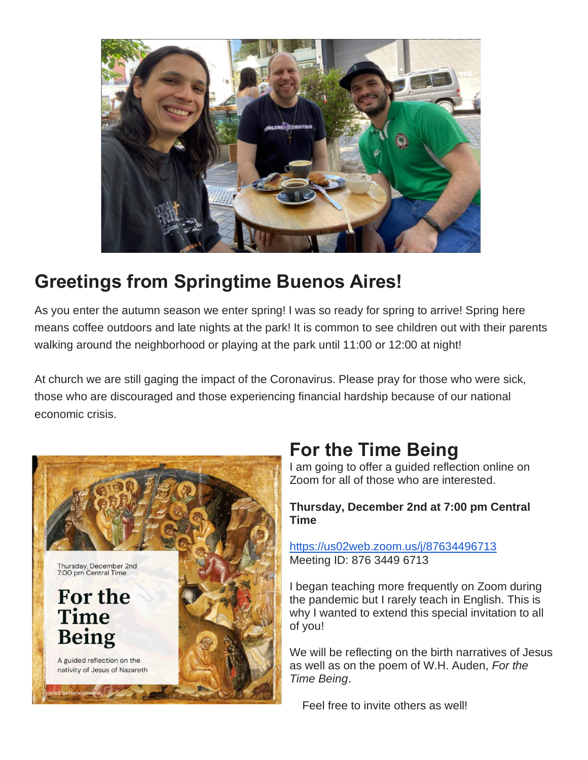

# **Greetings from Springtime Buenos Aires!**

As you enter the autumn season we enter spring! I was so ready for spring to arrive! Spring here means coffee outdoors and late nights at the park! It is common to see children out with their parents walking around the neighborhood or playing at the park until 11:00 or 12:00 at night!

At church we are still gaging the impact of the Coronavirus. Please pray for those who were sick, those who are discouraged and those experiencing financial hardship because of our national economic crisis.



## **For the Time Being**

I am going to offer a guided reflection online on Zoom for all of those who are interested.

#### **Thursday, December 2nd at 7:00 pm Central Time**

<https://us02web.zoom.us/j/87634496713> Meeting ID: 876 3449 6713

I began teaching more frequently on Zoom during the pandemic but I rarely teach in English. This is why I wanted to extend this special invitation to all of you!

We will be reflecting on the birth narratives of Jesus as well as on the poem of W.H. Auden, *For the Time Being*.

Feel free to invite others as well!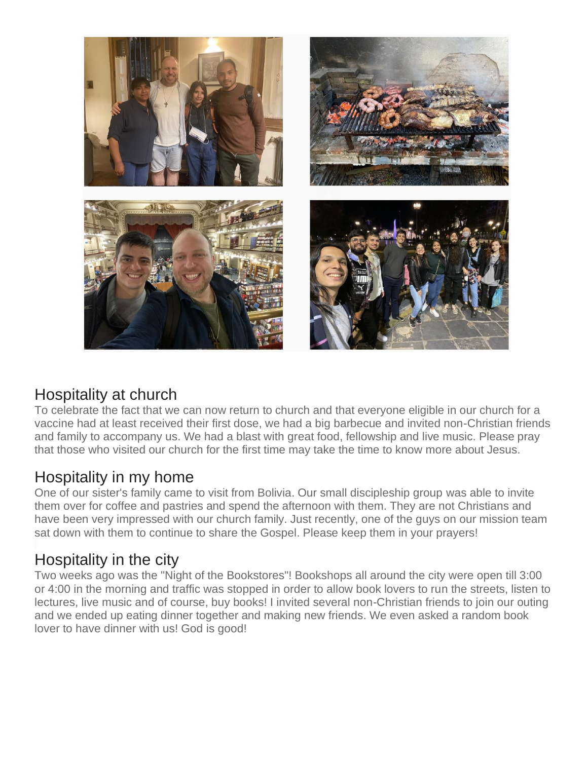

### Hospitality at church

To celebrate the fact that we can now return to church and that everyone eligible in our church for a vaccine had at least received their first dose, we had a big barbecue and invited non-Christian friends and family to accompany us. We had a blast with great food, fellowship and live music. Please pray that those who visited our church for the first time may take the time to know more about Jesus.

### Hospitality in my home

One of our sister's family came to visit from Bolivia. Our small discipleship group was able to invite them over for coffee and pastries and spend the afternoon with them. They are not Christians and have been very impressed with our church family. Just recently, one of the guys on our mission team sat down with them to continue to share the Gospel. Please keep them in your prayers!

### Hospitality in the city

Two weeks ago was the "Night of the Bookstores"! Bookshops all around the city were open till 3:00 or 4:00 in the morning and traffic was stopped in order to allow book lovers to run the streets, listen to lectures, live music and of course, buy books! I invited several non-Christian friends to join our outing and we ended up eating dinner together and making new friends. We even asked a random book lover to have dinner with us! God is good!